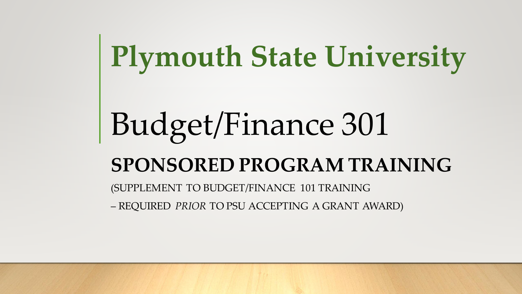# **Plymouth State University**

# Budget/Finance 301

# **SPONSORED PROGRAM TRAINING**

(SUPPLEMENT TO BUDGET/FINANCE 101 TRAINING

– REQUIRED *PRIOR* TO PSU ACCEPTING A GRANT AWARD)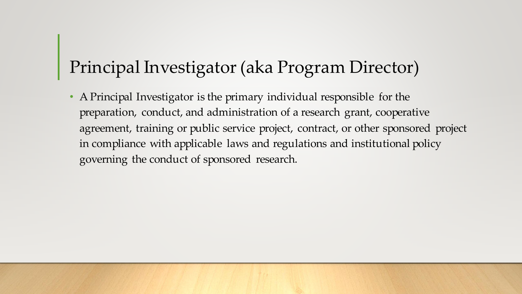#### Principal Investigator (aka Program Director)

• A Principal Investigator is the primary individual responsible for the preparation, conduct, and administration of a research grant, cooperative agreement, training or public service project, contract, or other sponsored project in compliance with applicable laws and regulations and institutional policy governing the conduct of sponsored research.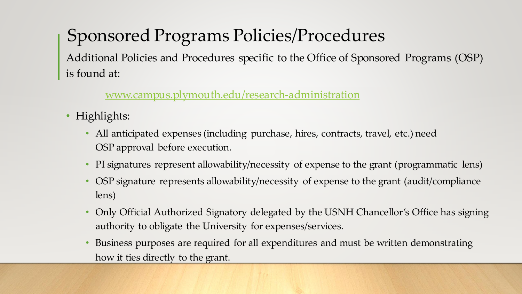# Sponsored Programs Policies/Procedures

Additional Policies and Procedures specific to the Office of Sponsored Programs (OSP) is found at:

#### [www.campus.plymouth.edu/research-administration](https://campus.plymouth.edu/research-administration/policies-and-procedures/)

- Highlights:
	- All anticipated expenses (including purchase, hires, contracts, travel, etc.) need OSP approval before execution.
	- PI signatures represent allowability/necessity of expense to the grant (programmatic lens)
	- OSP signature represents allowability/necessity of expense to the grant (audit/compliance lens)
	- Only Official Authorized Signatory delegated by the USNH Chancellor's Office has signing authority to obligate the University for expenses/services.
	- Business purposes are required for all expenditures and must be written demonstrating how it ties directly to the grant.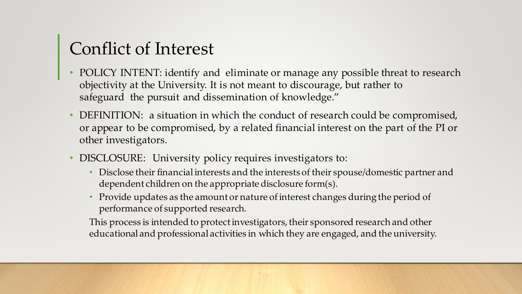# Conflict of Interest

- POLICY INTENT: identify and eliminate or manage any possible threat to research objectivity at the University. It is not meant to discourage, but rather to safeguard the pursuit and dissemination of knowledge."
- DEFINITION: a situation in which the conduct of research could be compromised, or appear to be compromised, by a related financial interest on the part of the PI or other investigators.
- DISCLOSURE: University policy requires investigators to:
	- Disclose their financial interests and the interests of their spouse/domestic partner and dependent children on the appropriate disclosure form(s).
	- Provide updates as the amount or nature of interest changes during the period of performance of supported research.

This process is intended to protect investigators, their sponsored research and other educational and professional activities in which they are engaged, and the university.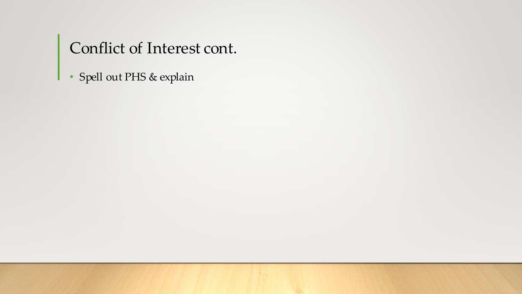#### Conflict of Interest cont.

• Spell out PHS & explain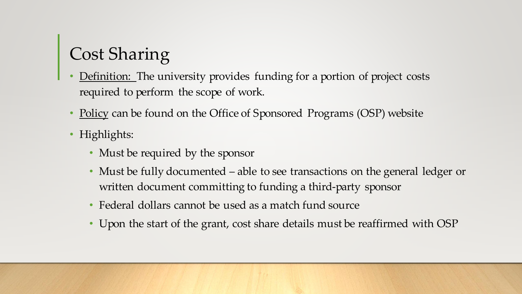# Cost Sharing

- Definition: The university provides funding for a portion of project costs required to perform the scope of work.
- Policy can be found on the Office of Sponsored Programs (OSP) website
- Highlights:
	- Must be required by the sponsor
	- Must be fully documented able to see transactions on the general ledger or written document committing to funding a third-party sponsor
	- Federal dollars cannot be used as a match fund source
	- Upon the start of the grant, cost share details must be reaffirmed with OSP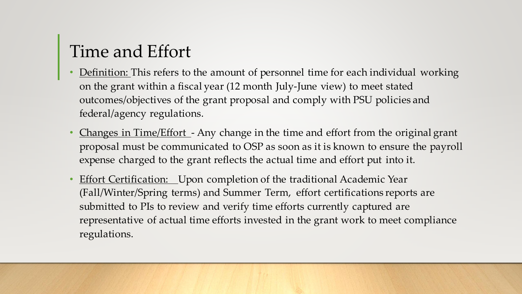### Time and Effort

- Definition: This refers to the amount of personnel time for each individual working on the grant within a fiscal year (12 month July-June view) to meet stated outcomes/objectives of the grant proposal and comply with PSU policies and federal/agency regulations.
- Changes in Time/Effort Any change in the time and effort from the original grant proposal must be communicated to OSP as soon as it is known to ensure the payroll expense charged to the grant reflects the actual time and effort put into it.
- **Effort Certification:** Upon completion of the traditional Academic Year (Fall/Winter/Spring terms) and Summer Term, effort certifications reports are submitted to PIs to review and verify time efforts currently captured are representative of actual time efforts invested in the grant work to meet compliance regulations.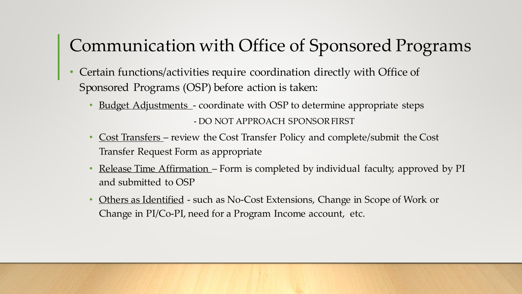### Communication with Office of Sponsored Programs

- Certain functions/activities require coordination directly with Office of Sponsored Programs (OSP) before action is taken:
	- Budget Adjustments coordinate with OSP to determine appropriate steps - DO NOT APPROACH SPONSOR FIRST
	- Cost Transfers review the Cost Transfer Policy and complete/submit the Cost Transfer Request Form as appropriate
	- <u>Release Time Affirmation</u> Form is completed by individual faculty, approved by PI and submitted to OSP
	- Others as Identified such as No-Cost Extensions, Change in Scope of Work or Change in PI/Co-PI, need for a Program Income account, etc.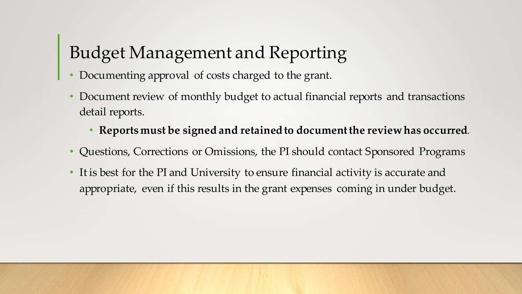## Budget Management and Reporting

- Documenting approval of costs charged to the grant.
- Document review of monthly budget to actual financial reports and transactions detail reports.
	- **Reports must be signed and retained to document the review has occurred**.
- Questions, Corrections or Omissions, the PI should contact Sponsored Programs
- It is best for the PI and University to ensure financial activity is accurate and appropriate, even if this results in the grant expenses coming in under budget.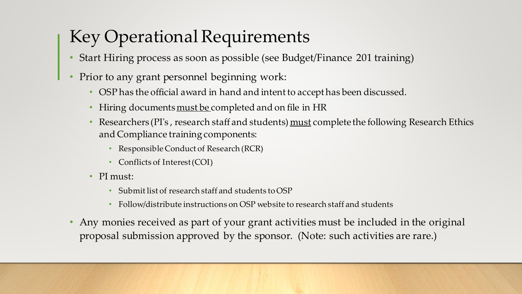# Key Operational Requirements

- Start Hiring process as soon as possible (see Budget/Finance 201 training)
- Prior to any grant personnel beginning work:
	- OSP has the official award in hand and intent to accept has been discussed.
	- Hiring documents must be completed and on file in HR
	- Researchers (PI's, research staff and students) must complete the following Research Ethics and Compliance training components:
		- Responsible Conduct of Research (RCR)
		- Conflicts of Interest (COI)
	- PI must:
		- Submit list of research staff and students to OSP
		- Follow/distribute instructions on OSP website to research staff and students
- Any monies received as part of your grant activities must be included in the original proposal submission approved by the sponsor. (Note: such activities are rare.)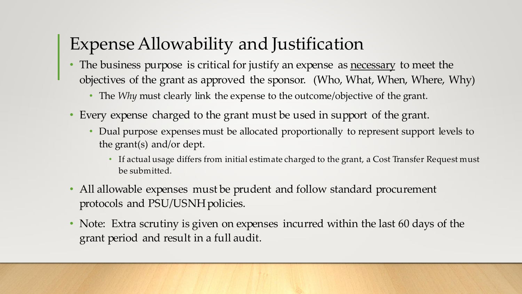# Expense Allowability and Justification

- The business purpose is critical for justify an expense as necessary to meet the objectives of the grant as approved the sponsor. (Who, What, When, Where, Why)
	- The *Why* must clearly link the expense to the outcome/objective of the grant.
- Every expense charged to the grant must be used in support of the grant.
	- Dual purpose expenses must be allocated proportionally to represent support levels to the grant(s) and/or dept.
		- If actual usage differs from initial estimate charged to the grant, a Cost Transfer Request must be submitted.
- All allowable expenses must be prudent and follow standard procurement protocols and PSU/USNH policies.
- Note: Extra scrutiny is given on expenses incurred within the last 60 days of the grant period and result in a full audit.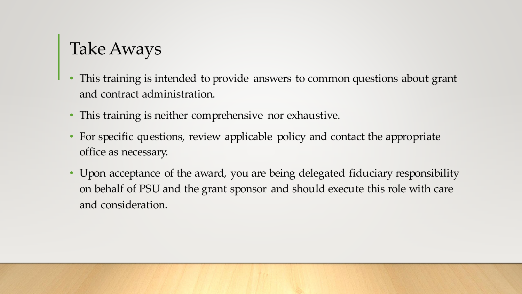# Take Aways

- This training is intended to provide answers to common questions about grant and contract administration.
- This training is neither comprehensive nor exhaustive.
- For specific questions, review applicable policy and contact the appropriate office as necessary.
- Upon acceptance of the award, you are being delegated fiduciary responsibility on behalf of PSU and the grant sponsor and should execute this role with care and consideration.